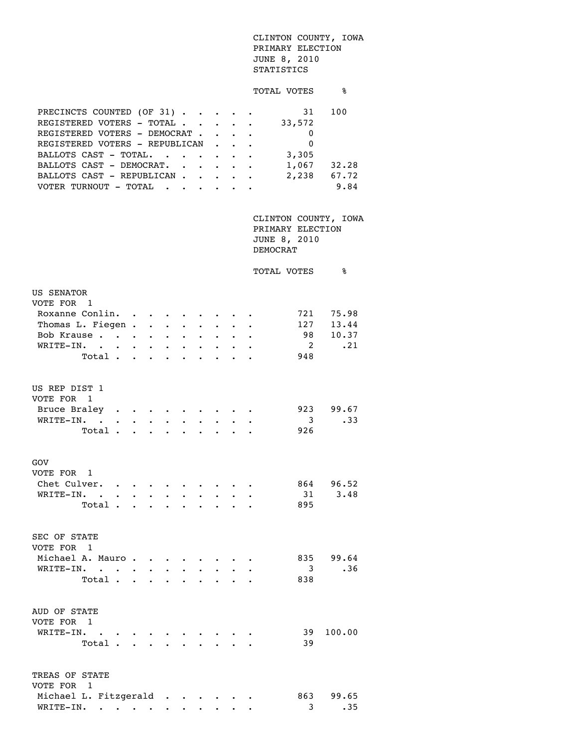## CLINTON COUNTY, IOWA PRIMARY ELECTION JUNE 8, 2010 STATISTICS

## TOTAL VOTES  $\frac{1}{8}$

| PRECINCTS COUNTED (OF 31)      |  | 31       | 100   |
|--------------------------------|--|----------|-------|
| REGISTERED VOTERS - TOTAL      |  | 33,572   |       |
| REGISTERED VOTERS - DEMOCRAT   |  | 0        |       |
| REGISTERED VOTERS - REPUBLICAN |  | $\Omega$ |       |
| BALLOTS CAST - TOTAL.          |  | 3,305    |       |
| BALLOTS CAST - DEMOCRAT.       |  | 1,067    | 32.28 |
| BALLOTS CAST - REPUBLICAN      |  | 2,238    | 67.72 |
| VOTER TURNOUT - TOTAL          |  |          | 9.84  |

 CLINTON COUNTY, IOWA PRIMARY ELECTION JUNE 8, 2010 DEMOCRAT

|                                 |                                 |                                                                                           |                         |                      |                                   |                      |                                                                           |                   |  | TOTAL VOTES             | နွ        |  |
|---------------------------------|---------------------------------|-------------------------------------------------------------------------------------------|-------------------------|----------------------|-----------------------------------|----------------------|---------------------------------------------------------------------------|-------------------|--|-------------------------|-----------|--|
| <b>US SENATOR</b><br>VOTE FOR 1 |                                 |                                                                                           |                         |                      |                                   |                      |                                                                           |                   |  |                         |           |  |
| Roxanne Conlin.                 |                                 |                                                                                           | $\sim 100$ km s $^{-1}$ |                      |                                   |                      |                                                                           |                   |  |                         | 721 75.98 |  |
| Thomas L. Fiegen.               |                                 |                                                                                           |                         | $\ddot{\phantom{0}}$ | $\ddot{\phantom{0}}$              |                      |                                                                           |                   |  |                         | 127 13.44 |  |
| Bob Krause                      |                                 |                                                                                           |                         | $\bullet$ .          | $\bullet$                         | $\ddot{\phantom{0}}$ | $\bullet$ .                                                               |                   |  | 98                      | 10.37     |  |
| WRITE-IN.                       | $\bullet$ .<br><br><br><br><br> | $\bullet$ .<br><br><br><br><br><br><br><br><br><br><br><br><br>                           |                         |                      |                                   |                      |                                                                           |                   |  | $\overline{2}$          | .21       |  |
|                                 | Total.                          |                                                                                           |                         |                      |                                   |                      |                                                                           |                   |  | 948                     |           |  |
| US REP DIST 1<br>VOTE FOR       | $\overline{1}$                  |                                                                                           |                         |                      |                                   |                      |                                                                           |                   |  |                         |           |  |
| Bruce Braley                    |                                 |                                                                                           |                         |                      |                                   |                      |                                                                           |                   |  |                         | 923 99.67 |  |
| WRITE-IN. .                     |                                 | $\bullet$ .                                                                               | $\sim$                  |                      | $\sim$ $\sim$                     |                      |                                                                           | $\ddots$ $\ddots$ |  | $\overline{\mathbf{3}}$ | .33       |  |
|                                 | Total.                          |                                                                                           | $\mathbf{L}$            | $\ddot{\phantom{a}}$ |                                   |                      |                                                                           |                   |  | 926                     |           |  |
| GOV<br>VOTE FOR 1               |                                 |                                                                                           |                         |                      |                                   |                      |                                                                           |                   |  |                         |           |  |
| Chet Culver.                    |                                 | $\mathcal{L}(\mathbf{z})$ , and $\mathcal{L}(\mathbf{z})$ , and $\mathcal{L}(\mathbf{z})$ |                         |                      |                                   |                      |                                                                           |                   |  |                         | 864 96.52 |  |
| WRITE-IN.                       | $\sim 100$ km s $^{-1}$         | $\bullet$ .<br><br><br><br><br><br><br><br><br><br><br><br>                               |                         |                      | $\bullet$ , $\bullet$ , $\bullet$ |                      |                                                                           |                   |  | 31                      | 3.48      |  |
|                                 | Total .                         |                                                                                           |                         |                      |                                   |                      |                                                                           |                   |  | 895                     |           |  |
| <b>SEC OF STATE</b><br>VOTE FOR | $\overline{1}$                  |                                                                                           |                         |                      |                                   |                      |                                                                           |                   |  |                         |           |  |
| Michael A. Mauro.               |                                 |                                                                                           |                         |                      |                                   |                      |                                                                           |                   |  |                         | 835 99.64 |  |
| WRITE-IN.                       |                                 |                                                                                           | $\sim$                  |                      | $\ddot{\phantom{a}}$              |                      |                                                                           |                   |  | $\overline{3}$          | .36       |  |
|                                 | Total.                          |                                                                                           | $\sim$                  | $\sim$ $\sim$        | $\mathbf{r}$                      |                      |                                                                           |                   |  | 838                     |           |  |
| AUD OF STATE<br>VOTE FOR        | 1                               |                                                                                           |                         |                      |                                   |                      |                                                                           |                   |  |                         |           |  |
| WRITE-IN.                       | $\ddot{\phantom{0}}$            |                                                                                           |                         |                      |                                   |                      |                                                                           |                   |  | 39                      | 100.00    |  |
|                                 | Total .                         |                                                                                           |                         |                      |                                   |                      |                                                                           |                   |  | 39                      |           |  |
| TREAS OF STATE<br>VOTE FOR      | $\overline{1}$                  |                                                                                           |                         |                      |                                   |                      |                                                                           |                   |  |                         |           |  |
| Michael L. Fitzgerald           |                                 |                                                                                           |                         |                      |                                   |                      | $\mathcal{A}=\mathcal{A}=\mathcal{A}=\mathcal{A}=\mathcal{A}=\mathcal{A}$ |                   |  |                         | 863 99.65 |  |
| WRITE-IN.                       |                                 | $\bullet$ .<br><br><br><br><br><br><br><br><br><br><br><br><br><br>                       |                         |                      |                                   |                      |                                                                           |                   |  | 3                       | .35       |  |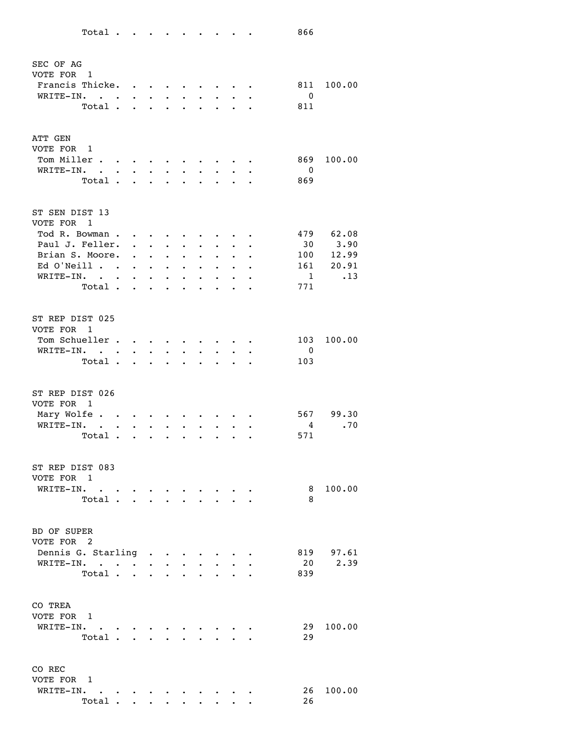| SEC OF AG                                |                      |                                                                     |                                                                                                                                                         |                                  |           |                      |           |                      |                      |              |           |
|------------------------------------------|----------------------|---------------------------------------------------------------------|---------------------------------------------------------------------------------------------------------------------------------------------------------|----------------------------------|-----------|----------------------|-----------|----------------------|----------------------|--------------|-----------|
| VOTE FOR<br>$\blacksquare$               |                      |                                                                     |                                                                                                                                                         |                                  |           |                      |           |                      |                      |              |           |
| Francis Thicke.                          |                      | $\bullet$ .<br><br><br><br><br><br><br><br><br><br><br><br><br>     |                                                                                                                                                         |                                  |           |                      |           |                      |                      | 811          | 100.00    |
| WRITE-IN.                                |                      |                                                                     |                                                                                                                                                         |                                  |           |                      |           |                      |                      | 0            |           |
| Total.                                   |                      |                                                                     |                                                                                                                                                         |                                  |           |                      |           |                      |                      | 811          |           |
|                                          |                      |                                                                     |                                                                                                                                                         |                                  |           |                      |           |                      |                      |              |           |
|                                          |                      |                                                                     |                                                                                                                                                         |                                  |           |                      |           |                      |                      |              |           |
| ATT GEN                                  |                      |                                                                     |                                                                                                                                                         |                                  |           |                      |           |                      |                      |              |           |
| VOTE FOR<br>1                            |                      |                                                                     |                                                                                                                                                         |                                  |           |                      |           |                      |                      |              |           |
| Tom Miller<br>$\ddot{\phantom{a}}$       | $\sim$ $\sim$        | $\bullet$ .<br><br><br><br><br><br><br><br><br><br><br><br><br><br> |                                                                                                                                                         |                                  |           |                      |           |                      |                      | 869          | 100.00    |
| WRITE-IN.<br>$\ddot{\phantom{0}}$        | $\bullet$            | $\bullet$                                                           |                                                                                                                                                         |                                  |           |                      |           |                      |                      | 0            |           |
| Total.                                   |                      |                                                                     |                                                                                                                                                         |                                  |           |                      |           |                      |                      | 869          |           |
|                                          |                      |                                                                     |                                                                                                                                                         |                                  |           |                      |           |                      |                      |              |           |
| ST SEN DIST 13                           |                      |                                                                     |                                                                                                                                                         |                                  |           |                      |           |                      |                      |              |           |
| VOTE FOR<br>1                            |                      |                                                                     |                                                                                                                                                         |                                  |           |                      |           |                      |                      |              |           |
| Tod R. Bowman.                           |                      | $\bullet$                                                           |                                                                                                                                                         |                                  |           |                      |           |                      |                      | 479          | 62.08     |
| Paul J. Feller.                          |                      | $\bullet$ . The set of $\bullet$                                    | $\bullet$                                                                                                                                               |                                  |           |                      |           |                      |                      | 30           | 3.90      |
| Brian S. Moore.                          |                      |                                                                     |                                                                                                                                                         |                                  |           |                      |           |                      |                      | 100          | 12.99     |
| Ed O'Neill .                             |                      |                                                                     | $\bullet$ .<br><br><br><br><br><br><br><br><br><br><br><br><br><br><br><br><br><br><br><br><br><br><br><br><br><br><br><br><br><br><br><br><br><br><br> | $\ddot{\phantom{0}}$             |           |                      |           |                      |                      | 161          | 20.91     |
|                                          | $\ddot{\phantom{a}}$ | $\bullet$                                                           | $\bullet$                                                                                                                                               | $\bullet$                        |           |                      |           |                      |                      |              |           |
| WRITE-IN.<br>$\ddot{\phantom{a}}$        |                      |                                                                     | $\bullet$                                                                                                                                               | $\ddot{\phantom{0}}$             |           |                      |           |                      |                      | $\mathbf{1}$ | .13       |
| Total .                                  |                      | a i                                                                 | $\overline{a}$                                                                                                                                          | $\ddot{\phantom{a}}$             |           |                      |           |                      |                      | 771          |           |
|                                          |                      |                                                                     |                                                                                                                                                         |                                  |           |                      |           |                      |                      |              |           |
| ST REP DIST 025                          |                      |                                                                     |                                                                                                                                                         |                                  |           |                      |           |                      |                      |              |           |
|                                          |                      |                                                                     |                                                                                                                                                         |                                  |           |                      |           |                      |                      |              |           |
| VOTE FOR<br>1                            |                      |                                                                     |                                                                                                                                                         |                                  |           |                      |           |                      |                      |              |           |
| Tom Schueller.                           |                      | $\bullet$                                                           |                                                                                                                                                         |                                  |           |                      |           |                      |                      | 103          | 100.00    |
| WRITE-IN.<br>$\overline{a}$              |                      |                                                                     |                                                                                                                                                         |                                  |           |                      |           |                      |                      | 0            |           |
| Total.                                   |                      |                                                                     |                                                                                                                                                         |                                  |           |                      |           |                      |                      | 103          |           |
|                                          |                      |                                                                     |                                                                                                                                                         |                                  |           |                      |           |                      |                      |              |           |
|                                          |                      |                                                                     |                                                                                                                                                         |                                  |           |                      |           |                      |                      |              |           |
| ST REP DIST 026                          |                      |                                                                     |                                                                                                                                                         |                                  |           |                      |           |                      |                      |              |           |
| VOTE FOR<br>1                            |                      |                                                                     |                                                                                                                                                         |                                  |           |                      |           |                      |                      |              |           |
| Mary Wolfe                               |                      |                                                                     |                                                                                                                                                         |                                  |           |                      |           |                      |                      | 567          | 99.30     |
| WRITE-IN.<br>$\sim$ $\sim$ $\sim$ $\sim$ |                      | $\bullet$                                                           |                                                                                                                                                         | $\bullet$                        |           |                      |           |                      |                      | 4            | .70       |
| Total                                    |                      |                                                                     |                                                                                                                                                         |                                  |           |                      |           |                      |                      | 571          |           |
|                                          |                      |                                                                     |                                                                                                                                                         |                                  |           |                      |           |                      |                      |              |           |
|                                          |                      |                                                                     |                                                                                                                                                         |                                  |           |                      |           |                      |                      |              |           |
| ST REP DIST 083                          |                      |                                                                     |                                                                                                                                                         |                                  |           |                      |           |                      |                      |              |           |
| VOTE FOR<br>- 1                          |                      |                                                                     |                                                                                                                                                         |                                  |           |                      |           |                      |                      |              |           |
| WRITE-IN.                                |                      |                                                                     |                                                                                                                                                         |                                  |           |                      |           |                      |                      | 8            | 100.00    |
| Total                                    |                      |                                                                     |                                                                                                                                                         | $\bullet$                        | $\bullet$ | $\sim$               |           |                      |                      | 8            |           |
|                                          |                      |                                                                     |                                                                                                                                                         |                                  |           |                      |           |                      |                      |              |           |
|                                          |                      |                                                                     |                                                                                                                                                         |                                  |           |                      |           |                      |                      |              |           |
| BD OF SUPER                              |                      |                                                                     |                                                                                                                                                         |                                  |           |                      |           |                      |                      |              |           |
| VOTE FOR 2                               |                      |                                                                     |                                                                                                                                                         |                                  |           |                      |           |                      |                      |              |           |
| Dennis G. Starling                       |                      |                                                                     |                                                                                                                                                         |                                  |           |                      |           |                      |                      |              | 819 97.61 |
| WRITE-IN.                                |                      |                                                                     |                                                                                                                                                         |                                  |           | $\ddot{\phantom{0}}$ | $\sim$    | $\sim$               | $\ddot{\phantom{a}}$ | 20           | 2.39      |
| Total                                    |                      |                                                                     |                                                                                                                                                         | $\bullet$ . The set of $\bullet$ | $\bullet$ |                      | $\bullet$ | $\ddot{\phantom{0}}$ | $\bullet$            | 839          |           |
|                                          |                      |                                                                     |                                                                                                                                                         |                                  |           |                      |           |                      |                      |              |           |
|                                          |                      |                                                                     |                                                                                                                                                         |                                  |           |                      |           |                      |                      |              |           |
| CO TREA                                  |                      |                                                                     |                                                                                                                                                         |                                  |           |                      |           |                      |                      |              |           |
| VOTE FOR 1                               |                      |                                                                     |                                                                                                                                                         |                                  |           |                      |           |                      |                      |              |           |
| WRITE-IN. .                              |                      | $\bullet$ .                                                         |                                                                                                                                                         |                                  |           |                      |           |                      |                      | 29           | 100.00    |
| Total                                    |                      |                                                                     |                                                                                                                                                         |                                  |           |                      |           |                      |                      | 29           |           |
|                                          |                      |                                                                     | $\ddot{\phantom{a}}$                                                                                                                                    |                                  |           |                      |           |                      |                      |              |           |
|                                          |                      |                                                                     |                                                                                                                                                         |                                  |           |                      |           |                      |                      |              |           |
|                                          |                      |                                                                     |                                                                                                                                                         |                                  |           |                      |           |                      |                      |              |           |
| CO REC                                   |                      |                                                                     |                                                                                                                                                         |                                  |           |                      |           |                      |                      |              |           |
|                                          |                      |                                                                     |                                                                                                                                                         |                                  |           |                      |           |                      |                      |              |           |
| VOTE FOR 1                               |                      |                                                                     |                                                                                                                                                         |                                  |           |                      |           |                      |                      |              |           |
| WRITE-IN.<br>$\bullet$<br>Total          |                      | $\bullet$ , $\bullet$ , $\bullet$ , $\bullet$ , $\bullet$           |                                                                                                                                                         |                                  |           |                      |           |                      |                      | 26<br>26     | 100.00    |

Total . . . . . . . . . 866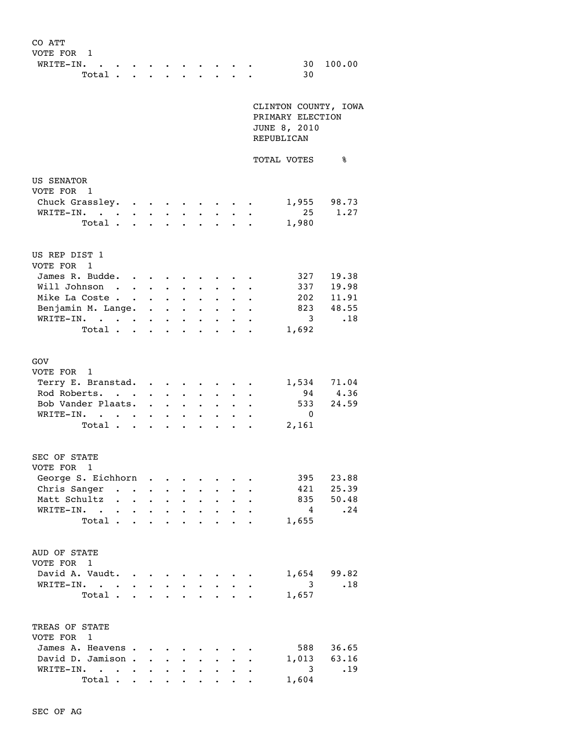| CO ATT                                           |                                             |                                                           |                                  |                                                                                                                                                                                                                                       |                      |                      |                                |
|--------------------------------------------------|---------------------------------------------|-----------------------------------------------------------|----------------------------------|---------------------------------------------------------------------------------------------------------------------------------------------------------------------------------------------------------------------------------------|----------------------|----------------------|--------------------------------|
| VOTE FOR 1                                       |                                             |                                                           |                                  |                                                                                                                                                                                                                                       |                      |                      |                                |
| WRITE-IN.<br>$\sim$ $-$                          |                                             |                                                           |                                  |                                                                                                                                                                                                                                       |                      |                      | 100.00<br>30                   |
| Total                                            |                                             | $\ddot{\phantom{0}}$                                      |                                  |                                                                                                                                                                                                                                       |                      |                      | 30                             |
|                                                  |                                             |                                                           |                                  |                                                                                                                                                                                                                                       |                      |                      |                                |
|                                                  |                                             |                                                           |                                  |                                                                                                                                                                                                                                       |                      |                      |                                |
|                                                  |                                             |                                                           |                                  |                                                                                                                                                                                                                                       |                      |                      | CLINTON COUNTY, IOWA           |
|                                                  |                                             |                                                           |                                  |                                                                                                                                                                                                                                       |                      |                      | PRIMARY ELECTION               |
|                                                  |                                             |                                                           |                                  |                                                                                                                                                                                                                                       |                      |                      | JUNE 8, 2010                   |
|                                                  |                                             |                                                           |                                  |                                                                                                                                                                                                                                       |                      |                      | REPUBLICAN                     |
|                                                  |                                             |                                                           |                                  |                                                                                                                                                                                                                                       |                      |                      |                                |
|                                                  |                                             |                                                           |                                  |                                                                                                                                                                                                                                       |                      |                      | TOTAL VOTES<br>နွ              |
|                                                  |                                             |                                                           |                                  |                                                                                                                                                                                                                                       |                      |                      |                                |
| US SENATOR                                       |                                             |                                                           |                                  |                                                                                                                                                                                                                                       |                      |                      |                                |
| VOTE FOR 1                                       |                                             |                                                           |                                  |                                                                                                                                                                                                                                       |                      |                      |                                |
| Chuck Grassley.                                  |                                             |                                                           |                                  |                                                                                                                                                                                                                                       |                      |                      | 1,955 98.73                    |
| WRITE-IN.                                        |                                             |                                                           |                                  |                                                                                                                                                                                                                                       |                      |                      | 1.27<br>25                     |
| Total                                            |                                             | $\cdot$ $\cdot$ $\cdot$ $\cdot$                           |                                  |                                                                                                                                                                                                                                       |                      |                      | 1,980                          |
|                                                  |                                             |                                                           |                                  |                                                                                                                                                                                                                                       |                      |                      |                                |
|                                                  |                                             |                                                           |                                  |                                                                                                                                                                                                                                       |                      |                      |                                |
| US REP DIST 1                                    |                                             |                                                           |                                  |                                                                                                                                                                                                                                       |                      |                      |                                |
| VOTE FOR 1                                       |                                             |                                                           |                                  |                                                                                                                                                                                                                                       |                      |                      |                                |
| James R. Budde.<br>$\bullet$                     |                                             |                                                           |                                  |                                                                                                                                                                                                                                       |                      |                      | 327<br>19.38                   |
| Will Johnson.<br>$\ddot{\phantom{0}}$            | $\bullet$                                   | $\bullet$ .                                               | $\bullet$                        |                                                                                                                                                                                                                                       |                      |                      | 337 19.98                      |
| Mike La Coste                                    |                                             | $\mathbf{1}$ , $\mathbf{1}$ , $\mathbf{1}$ , $\mathbf{1}$ |                                  |                                                                                                                                                                                                                                       |                      |                      | 202 11.91                      |
| Benjamin M. Lange.                               | <b><i>Committee States</i></b>              |                                                           |                                  | $\bullet$ $\bullet$ $\bullet$                                                                                                                                                                                                         |                      |                      | 823 48.55                      |
| WRITE-IN.<br>$\sim$ $\sim$                       | $\bullet$                                   | $\bullet$ .<br><br><br><br><br><br><br>                   |                                  | $\bullet$ $\bullet$ $\bullet$                                                                                                                                                                                                         | $\bullet$            |                      | $\overline{\mathbf{3}}$<br>.18 |
| Total                                            |                                             |                                                           |                                  | $\ddot{\bullet}$ . The set of the set of the set of the set of the set of the set of the set of the set of the set of the set of the set of the set of the set of the set of the set of the set of the set of the set of the set of t | $\ddot{\phantom{0}}$ |                      | 1,692                          |
|                                                  |                                             |                                                           |                                  |                                                                                                                                                                                                                                       |                      |                      |                                |
|                                                  |                                             |                                                           |                                  |                                                                                                                                                                                                                                       |                      |                      |                                |
| GOV                                              |                                             |                                                           |                                  |                                                                                                                                                                                                                                       |                      |                      |                                |
| VOTE FOR 1                                       |                                             |                                                           |                                  |                                                                                                                                                                                                                                       |                      |                      |                                |
| Terry E. Branstad.                               |                                             |                                                           |                                  |                                                                                                                                                                                                                                       |                      |                      | 1,534 71.04                    |
| Rod Roberts.                                     |                                             | $\sim$ $\sim$                                             |                                  | $\ddot{\bullet}$ $\ddot{\bullet}$                                                                                                                                                                                                     |                      |                      | 4.36<br>94                     |
| Bob Vander Plaats.                               | $\ddot{\phantom{a}}$                        |                                                           |                                  |                                                                                                                                                                                                                                       |                      |                      | 533<br>24.59                   |
| WRITE-IN.                                        | $\bullet$                                   | $\bullet$                                                 | $\bullet$                        | $\ddot{\phantom{0}}$                                                                                                                                                                                                                  |                      |                      | $\overline{\phantom{0}}$       |
| $\sim$ $\sim$ $\sim$                             |                                             | $\bullet$ . $\bullet$                                     |                                  | $\bullet$ .<br><br><br><br><br><br><br><br><br><br><br><br><br>                                                                                                                                                                       | $\bullet$            |                      | 2,161                          |
| Total                                            | $\bullet$ .<br><br><br><br><br><br><br><br> | $\bullet$                                                 | $\bullet$ . The set of $\bullet$ | $\bullet$                                                                                                                                                                                                                             | $\bullet$            |                      |                                |
|                                                  |                                             |                                                           |                                  |                                                                                                                                                                                                                                       |                      |                      |                                |
| SEC OF STATE                                     |                                             |                                                           |                                  |                                                                                                                                                                                                                                       |                      |                      |                                |
| VOTE FOR 1                                       |                                             |                                                           |                                  |                                                                                                                                                                                                                                       |                      |                      |                                |
| George S. Eichhorn.                              |                                             | $\bullet$                                                 |                                  |                                                                                                                                                                                                                                       |                      |                      | 395<br>23.88                   |
| Chris Sanger .<br>$\bullet$                      | $\ddot{\phantom{0}}$                        | $\bullet$                                                 | $\ddot{\phantom{0}}$             | $\bullet$                                                                                                                                                                                                                             |                      |                      | 421<br>25.39                   |
| Matt Schultz<br>$\bullet$ . The set of $\bullet$ | $\bullet$                                   | $\ddot{\phantom{0}}$                                      | $\bullet$                        | $\ddot{\phantom{0}}$                                                                                                                                                                                                                  |                      |                      | 835<br>50.48                   |
| $WRITE-IN.$ .<br>$\bullet$ .<br>$\bullet$        | $\bullet$                                   | $\bullet$ .                                               | $\ddot{\phantom{0}}$             | $\ddot{\phantom{a}}$                                                                                                                                                                                                                  | $\bullet$            |                      | $\overline{4}$<br>.24          |
| Total .<br>$\ddot{\phantom{a}}$                  | $\bullet$                                   | $\bullet$                                                 | $\ddot{\phantom{0}}$             |                                                                                                                                                                                                                                       |                      |                      | 1,655                          |
|                                                  |                                             |                                                           |                                  |                                                                                                                                                                                                                                       |                      |                      |                                |
|                                                  |                                             |                                                           |                                  |                                                                                                                                                                                                                                       |                      |                      |                                |
| AUD OF STATE                                     |                                             |                                                           |                                  |                                                                                                                                                                                                                                       |                      |                      |                                |
| VOTE FOR 1                                       |                                             |                                                           |                                  |                                                                                                                                                                                                                                       |                      |                      |                                |
| David A. Vaudt.                                  |                                             |                                                           |                                  |                                                                                                                                                                                                                                       |                      |                      | 1,654<br>99.82                 |
| WRITE-IN.<br>$\ddotsc$                           |                                             |                                                           |                                  |                                                                                                                                                                                                                                       |                      |                      | 3<br>.18                       |
| $\bullet$<br>Total .<br>$\bullet$                | $\bullet$                                   | $\ddot{\phantom{a}}$                                      | $\ddot{\phantom{a}}$             | $\ddot{\phantom{0}}$                                                                                                                                                                                                                  |                      |                      | 1,657                          |
|                                                  |                                             |                                                           |                                  |                                                                                                                                                                                                                                       |                      |                      |                                |
|                                                  |                                             |                                                           |                                  |                                                                                                                                                                                                                                       |                      |                      |                                |
| TREAS OF STATE                                   |                                             |                                                           |                                  |                                                                                                                                                                                                                                       |                      |                      |                                |
| VOTE FOR 1                                       |                                             |                                                           |                                  |                                                                                                                                                                                                                                       |                      |                      |                                |
| James A. Heavens                                 |                                             | <b>Contract Contract Contract</b>                         |                                  |                                                                                                                                                                                                                                       |                      |                      | 36.65<br>588                   |
| David D. Jamison.                                | $\ddot{\phantom{0}}$                        | $\ddot{\phantom{0}}$                                      | $\bullet$ . The set of $\bullet$ | $\ddot{\phantom{0}}$                                                                                                                                                                                                                  | $\ddot{\phantom{0}}$ | $\ddot{\phantom{0}}$ | 63.16<br>1,013<br>$\bullet$    |
| WRITE-IN.                                        |                                             | $\bullet$ . The set of $\bullet$                          | $\bullet$                        | $\bullet$                                                                                                                                                                                                                             | $\bullet$            |                      | 3<br>.19<br>$\bullet$          |
|                                                  |                                             |                                                           |                                  |                                                                                                                                                                                                                                       |                      |                      |                                |

Total . . . . . . . . . 1,604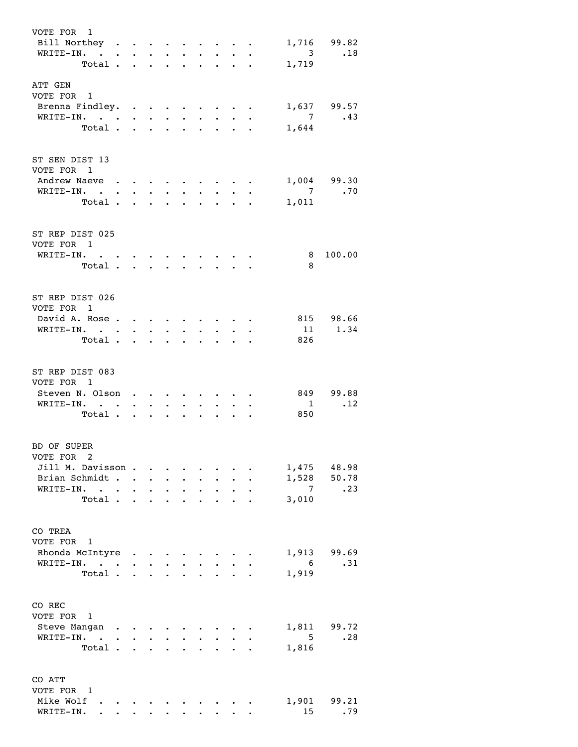| VOTE FOR 1<br>Bill Northey<br>WRITE-IN. |                                                             |                      |                                                                                                                                                                                                                                  |                      |                                  |                                  |                      |                           | $\ddot{\phantom{a}}$ | $\overline{\mathbf{3}}$ | 1,716 99.82<br>.18 |
|-----------------------------------------|-------------------------------------------------------------|----------------------|----------------------------------------------------------------------------------------------------------------------------------------------------------------------------------------------------------------------------------|----------------------|----------------------------------|----------------------------------|----------------------|---------------------------|----------------------|-------------------------|--------------------|
| Total                                   |                                                             |                      |                                                                                                                                                                                                                                  |                      | $\bullet$ . The set of $\bullet$ | $\bullet$ . The set of $\bullet$ | $\ddot{\phantom{0}}$ | $\ddot{\phantom{0}}$      | $\bullet$            | 1,719                   |                    |
|                                         |                                                             |                      |                                                                                                                                                                                                                                  |                      |                                  |                                  |                      |                           |                      |                         |                    |
| ATT GEN<br>VOTE FOR 1                   |                                                             |                      |                                                                                                                                                                                                                                  |                      |                                  |                                  |                      |                           |                      |                         |                    |
| Brenna Findley.                         |                                                             |                      |                                                                                                                                                                                                                                  |                      |                                  |                                  |                      |                           |                      |                         | 1,637 99.57        |
| WRITE-IN. .                             | $\bullet$ .<br><br><br><br><br><br><br><br><br><br><br><br> |                      | $\bullet$ .                                                                                                                                                                                                                      | $\bullet$ .          | $\bullet$ . $\bullet$            |                                  | $\sim$ $-$           |                           |                      | $\overline{7}$          | .43                |
| Total.                                  |                                                             |                      | $\mathbf{r}$ $\mathbf{r}$                                                                                                                                                                                                        |                      | $\ddot{\phantom{0}}$             | $\ddot{\phantom{0}}$             | $\ddot{\phantom{0}}$ | $\mathbf{L}^{\text{max}}$ | $\overline{a}$       | 1,644                   |                    |
|                                         |                                                             |                      |                                                                                                                                                                                                                                  |                      |                                  |                                  |                      |                           |                      |                         |                    |
| ST SEN DIST 13<br>VOTE FOR 1            |                                                             |                      |                                                                                                                                                                                                                                  |                      |                                  |                                  |                      |                           |                      |                         |                    |
| Andrew Naeve                            |                                                             |                      |                                                                                                                                                                                                                                  |                      |                                  |                                  |                      |                           |                      |                         | 1,004 99.30        |
| WRITE-IN. .                             |                                                             | $\ddot{\phantom{0}}$ | $\bullet$ .                                                                                                                                                                                                                      | $\ddot{\phantom{0}}$ |                                  |                                  |                      |                           |                      |                         | $7 \quad .70$      |
| Total.                                  |                                                             | $\ddot{\phantom{0}}$ | $\ddot{\phantom{0}}$                                                                                                                                                                                                             | $\ddot{\phantom{a}}$ |                                  |                                  |                      |                           |                      | 1,011                   |                    |
| ST REP DIST 025<br>VOTE FOR 1           |                                                             |                      |                                                                                                                                                                                                                                  |                      |                                  |                                  |                      |                           |                      |                         |                    |
| WRITE-IN.                               |                                                             |                      | $\cdot$ $\cdot$ $\cdot$ $\cdot$ $\cdot$ $\cdot$                                                                                                                                                                                  |                      |                                  |                                  |                      |                           |                      | 8                       | 100.00             |
| Total.                                  |                                                             |                      | $\cdot$ $\cdot$                                                                                                                                                                                                                  |                      |                                  |                                  |                      |                           |                      | - 8                     |                    |
| ST REP DIST 026<br>VOTE FOR 1           |                                                             |                      |                                                                                                                                                                                                                                  |                      |                                  |                                  |                      |                           |                      |                         |                    |
| David A. Rose                           |                                                             |                      |                                                                                                                                                                                                                                  |                      |                                  |                                  |                      |                           |                      |                         | 815 98.66          |
| WRITE-IN.                               |                                                             |                      | $\bullet$ $\bullet$ $\bullet$                                                                                                                                                                                                    | $\bullet$            | $\bullet$                        |                                  |                      |                           |                      |                         | 11 1.34            |
| Total .                                 |                                                             |                      | $\cdot$ $\cdot$ $\cdot$ $\cdot$                                                                                                                                                                                                  |                      | $\ddot{\phantom{0}}$             | $\ddot{\phantom{0}}$             | $\ddot{\phantom{0}}$ |                           | $\ddot{\phantom{0}}$ | 826                     |                    |
| ST REP DIST 083<br>VOTE FOR 1           |                                                             |                      |                                                                                                                                                                                                                                  |                      |                                  |                                  |                      |                           |                      |                         |                    |
| Steven N. Olson                         |                                                             |                      | $\mathbf{r}$ , and the set of the set of the set of the set of the set of the set of the set of the set of the set of the set of the set of the set of the set of the set of the set of the set of the set of the set of the set |                      |                                  |                                  |                      |                           |                      |                         | 849 99.88          |
| WRITE-IN.                               |                                                             |                      | $\cdot$ $\cdot$ $\cdot$ $\cdot$ $\cdot$ $\cdot$ $\cdot$                                                                                                                                                                          |                      |                                  |                                  |                      |                           | $\ddot{\phantom{0}}$ | $\overline{1}$          | $\cdot$ 12         |
| Total.                                  |                                                             |                      |                                                                                                                                                                                                                                  |                      |                                  |                                  | $\bullet$            | $\ddot{\phantom{0}}$      | $\ddot{\phantom{0}}$ | 850                     |                    |
| BD OF SUPER<br>VOTE FOR 2               |                                                             |                      |                                                                                                                                                                                                                                  |                      |                                  |                                  |                      |                           |                      |                         |                    |
| Jill M. Davisson.                       |                                                             |                      |                                                                                                                                                                                                                                  |                      |                                  |                                  |                      |                           |                      |                         | 1,475 48.98        |
| Brian Schmidt                           |                                                             |                      |                                                                                                                                                                                                                                  |                      |                                  |                                  |                      | $\sim$ $\sim$             |                      |                         | 1,528 50.78        |
| WRITE-IN.<br>$\ddot{\phantom{0}}$       |                                                             | $\ddot{\phantom{a}}$ | $\ddot{\phantom{0}}$                                                                                                                                                                                                             | $\ddot{\phantom{0}}$ | $\ddot{\phantom{0}}$             | $\ddot{\phantom{0}}$             | $\ddot{\phantom{a}}$ |                           |                      | $\overline{7}$          | .23                |
| Total                                   |                                                             |                      |                                                                                                                                                                                                                                  |                      | $\bullet$                        | $\ddot{\phantom{0}}$             |                      |                           | $\ddot{\phantom{0}}$ | 3,010                   |                    |
| CO TREA<br>VOTE FOR 1                   |                                                             |                      |                                                                                                                                                                                                                                  |                      |                                  |                                  |                      |                           |                      |                         |                    |
| Rhonda McIntyre                         |                                                             |                      |                                                                                                                                                                                                                                  |                      |                                  |                                  |                      |                           |                      |                         | 1,913 99.69        |
| WRITE-IN.                               |                                                             |                      |                                                                                                                                                                                                                                  |                      |                                  |                                  |                      | $\cdots$                  |                      | $6\overline{6}$         | .31                |
| Total.                                  |                                                             |                      | $\mathbf{r} = \mathbf{r} \times \mathbf{r}$                                                                                                                                                                                      |                      |                                  |                                  |                      |                           |                      | 1,919                   |                    |
| CO REC<br>VOTE FOR 1                    |                                                             |                      |                                                                                                                                                                                                                                  |                      |                                  |                                  |                      |                           |                      |                         |                    |
| Steve Mangan                            | $\bullet$                                                   |                      |                                                                                                                                                                                                                                  |                      |                                  |                                  |                      |                           |                      |                         | 1,811 99.72        |
| WRITE-IN. .                             |                                                             | $\ddot{\phantom{0}}$ | $\ddot{\phantom{0}}$                                                                                                                                                                                                             | $\ddot{\phantom{0}}$ |                                  |                                  |                      |                           |                      | $5^{\circ}$             | .28                |
| Total.                                  |                                                             | $\mathbf{L}$         | $\ddot{\phantom{a}}$                                                                                                                                                                                                             | $\mathbf{A}$         |                                  |                                  |                      |                           |                      | 1,816                   |                    |
| CO ATT<br>VOTE FOR 1<br>Mike Wolf       |                                                             |                      |                                                                                                                                                                                                                                  |                      |                                  |                                  |                      |                           |                      |                         | 1,901 99.21        |
| WRITE-IN.                               |                                                             |                      |                                                                                                                                                                                                                                  |                      |                                  |                                  |                      |                           |                      | 15                      | .79                |
|                                         |                                                             |                      |                                                                                                                                                                                                                                  |                      |                                  |                                  |                      |                           |                      |                         |                    |